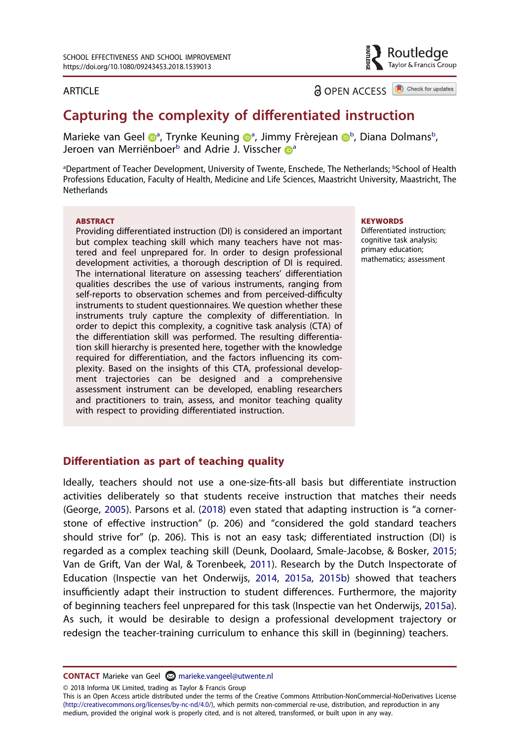#### ARTICLE

**a** OPEN ACCESS **a** Check for updates

Routledae Taylor & Francis Group

# Capturing the complexity of differentiated instruction

Marieke van Gee[l](http://orcid.org/0000-0003-2033-6612)  $\bullet^a$  $\bullet^a$ , Trynke Keunin[g](http://orcid.org/0000-0002-1730-3871)  $\bullet^a$  $\bullet^a$  $\bullet^a$ , Jimmy Frèrejean  $\bullet^b$ , Diana Dolmans<sup>b</sup>, Jeroen van Merriën[b](#page-0-0)oer<sup>b</sup> [a](#page-0-0)nd Adrie J. Visscher **D**<sup>a</sup>

<span id="page-0-0"></span>aDepartment of Teacher Development, University of Twente, Enschede, The Netherlands; bSchool of Health Professions Education, Faculty of Health, Medicine and Life Sciences, Maastricht University, Maastricht, The **Netherlands** 

#### **ABSTRACT**

Providing differentiated instruction (DI) is considered an important but complex teaching skill which many teachers have not mastered and feel unprepared for. In order to design professional development activities, a thorough description of DI is required. The international literature on assessing teachers' differentiation qualities describes the use of various instruments, ranging from self-reports to observation schemes and from perceived-difficulty instruments to student questionnaires. We question whether these instruments truly capture the complexity of differentiation. In order to depict this complexity, a cognitive task analysis (CTA) of the differentiation skill was performed. The resulting differentiation skill hierarchy is presented here, together with the knowledge required for differentiation, and the factors influencing its complexity. Based on the insights of this CTA, professional development trajectories can be designed and a comprehensive assessment instrument can be developed, enabling researchers and practitioners to train, assess, and monitor teaching quality with respect to providing differentiated instruction.

#### **KEYWORDS**

Differentiated instruction; cognitive task analysis; primary education; mathematics; assessment

## Differentiation as part of teaching quality

<span id="page-0-5"></span><span id="page-0-3"></span><span id="page-0-2"></span><span id="page-0-1"></span>Ideally, teachers should not use a one-size-fits-all basis but differentiate instruction activities deliberately so that students receive instruction that matches their needs (George, [2005\)](#page-15-0). Parsons et al. [\(2018\)](#page-16-0) even stated that adapting instruction is "a cornerstone of effective instruction" (p. 206) and "considered the gold standard teachers should strive for" (p. 206). This is not an easy task; differentiated instruction (DI) is regarded as a complex teaching skill (Deunk, Doolaard, Smale-Jacobse, & Bosker, [2015](#page-15-1); Van de Grift, Van der Wal, & Torenbeek, [2011\)](#page-16-1). Research by the Dutch Inspectorate of Education (Inspectie van het Onderwijs, [2014,](#page-15-2) [2015a,](#page-15-3) [2015b](#page-15-4)) showed that teachers insufficiently adapt their instruction to student differences. Furthermore, the majority of beginning teachers feel unprepared for this task (Inspectie van het Onderwijs, [2015a](#page-15-3)). As such, it would be desirable to design a professional development trajectory or redesign the teacher-training curriculum to enhance this skill in (beginning) teachers.

<span id="page-0-4"></span>CONTACT Marieke van Geel <sup>2</sup> marieke.vangeel@utwente.nl

© 2018 Informa UK Limited, trading as Taylor & Francis Group

This is an Open Access article distributed under the terms of the Creative Commons Attribution-NonCommercial-NoDerivatives License (http://creativecommons.org/licenses/by-nc-nd/4.0/), which permits non-commercial re-use, distribution, and reproduction in any medium, provided the original work is properly cited, and is not altered, transformed, or built upon in any way.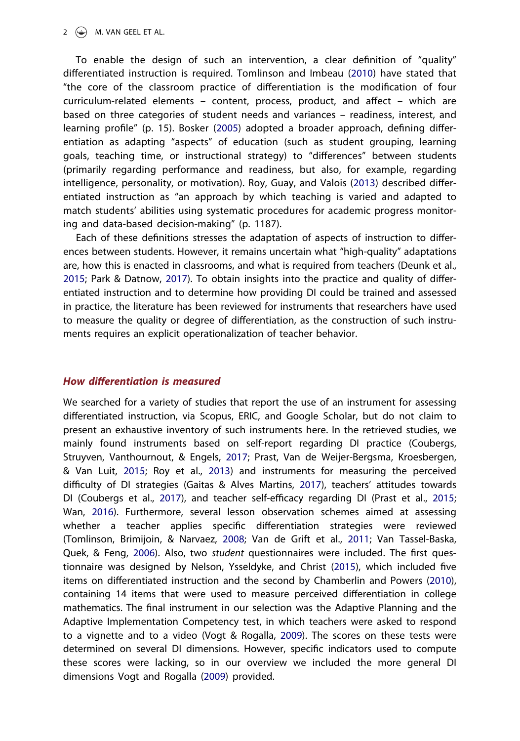<span id="page-1-8"></span><span id="page-1-0"></span>To enable the design of such an intervention, a clear definition of "quality" differentiated instruction is required. Tomlinson and Imbeau [\(2010\)](#page-16-2) have stated that "the core of the classroom practice of differentiation is the modification of four curriculum-related elements – content, process, product, and affect – which are based on three categories of student needs and variances – readiness, interest, and learning profile" (p. 15). Bosker [\(2005](#page-15-5)) adopted a broader approach, defining differentiation as adapting "aspects" of education (such as student grouping, learning goals, teaching time, or instructional strategy) to "differences" between students (primarily regarding performance and readiness, but also, for example, regarding intelligence, personality, or motivation). Roy, Guay, and Valois [\(2013](#page-16-3)) described differentiated instruction as "an approach by which teaching is varied and adapted to match students' abilities using systematic procedures for academic progress monitoring and data-based decision-making" (p. 1187).

<span id="page-1-5"></span>Each of these definitions stresses the adaptation of aspects of instruction to differences between students. However, it remains uncertain what "high-quality" adaptations are, how this is enacted in classrooms, and what is required from teachers (Deunk et al., [2015;](#page-15-1) Park & Datnow, [2017\)](#page-16-4). To obtain insights into the practice and quality of differentiated instruction and to determine how providing DI could be trained and assessed in practice, the literature has been reviewed for instruments that researchers have used to measure the quality or degree of differentiation, as the construction of such instruments requires an explicit operationalization of teacher behavior.

### How differentiation is measured

<span id="page-1-11"></span><span id="page-1-10"></span><span id="page-1-9"></span><span id="page-1-7"></span><span id="page-1-6"></span><span id="page-1-4"></span><span id="page-1-3"></span><span id="page-1-2"></span><span id="page-1-1"></span>We searched for a variety of studies that report the use of an instrument for assessing differentiated instruction, via Scopus, ERIC, and Google Scholar, but do not claim to present an exhaustive inventory of such instruments here. In the retrieved studies, we mainly found instruments based on self-report regarding DI practice (Coubergs, Struyven, Vanthournout, & Engels, [2017;](#page-15-6) Prast, Van de Weijer-Bergsma, Kroesbergen, & Van Luit, [2015;](#page-16-5) Roy et al., [2013\)](#page-16-3) and instruments for measuring the perceived difficulty of DI strategies (Gaitas & Alves Martins, [2017\)](#page-15-7), teachers' attitudes towards DI (Coubergs et al., [2017\)](#page-15-6), and teacher self-efficacy regarding DI (Prast et al., [2015](#page-16-5); Wan, [2016\)](#page-16-6). Furthermore, several lesson observation schemes aimed at assessing whether a teacher applies specific differentiation strategies were reviewed (Tomlinson, Brimijoin, & Narvaez, [2008;](#page-16-7) Van de Grift et al., [2011;](#page-16-1) Van Tassel-Baska, Quek, & Feng, [2006\)](#page-16-8). Also, two student questionnaires were included. The first questionnaire was designed by Nelson, Ysseldyke, and Christ ([2015](#page-16-9)), which included five items on differentiated instruction and the second by Chamberlin and Powers ([2010](#page-15-8)), containing 14 items that were used to measure perceived differentiation in college mathematics. The final instrument in our selection was the Adaptive Planning and the Adaptive Implementation Competency test, in which teachers were asked to respond to a vignette and to a video (Vogt & Rogalla, [2009\)](#page-16-10). The scores on these tests were determined on several DI dimensions. However, specific indicators used to compute these scores were lacking, so in our overview we included the more general DI dimensions Vogt and Rogalla [\(2009\)](#page-16-10) provided.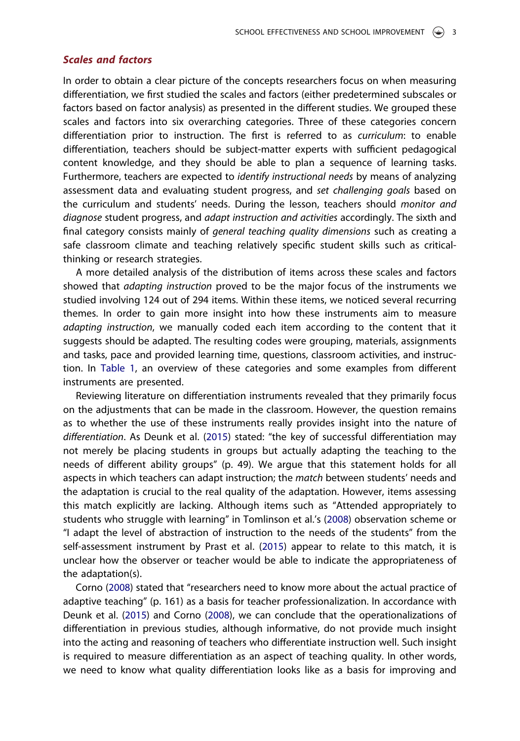## Scales and factors

In order to obtain a clear picture of the concepts researchers focus on when measuring differentiation, we first studied the scales and factors (either predetermined subscales or factors based on factor analysis) as presented in the different studies. We grouped these scales and factors into six overarching categories. Three of these categories concern differentiation prior to instruction. The first is referred to as curriculum: to enable differentiation, teachers should be subject-matter experts with sufficient pedagogical content knowledge, and they should be able to plan a sequence of learning tasks. Furthermore, teachers are expected to identify instructional needs by means of analyzing assessment data and evaluating student progress, and set challenging goals based on the curriculum and students' needs. During the lesson, teachers should monitor and diagnose student progress, and adapt instruction and activities accordingly. The sixth and final category consists mainly of *general teaching quality dimensions* such as creating a safe classroom climate and teaching relatively specific student skills such as criticalthinking or research strategies.

A more detailed analysis of the distribution of items across these scales and factors showed that adapting instruction proved to be the major focus of the instruments we studied involving 124 out of 294 items. Within these items, we noticed several recurring themes. In order to gain more insight into how these instruments aim to measure adapting instruction, we manually coded each item according to the content that it suggests should be adapted. The resulting codes were grouping, materials, assignments and tasks, pace and provided learning time, questions, classroom activities, and instruction. In [Table 1](#page-3-0), an overview of these categories and some examples from different instruments are presented.

Reviewing literature on differentiation instruments revealed that they primarily focus on the adjustments that can be made in the classroom. However, the question remains as to whether the use of these instruments really provides insight into the nature of differentiation. As Deunk et al. ([2015](#page-15-1)) stated: "the key of successful differentiation may not merely be placing students in groups but actually adapting the teaching to the needs of different ability groups" (p. 49). We argue that this statement holds for all aspects in which teachers can adapt instruction; the match between students' needs and the adaptation is crucial to the real quality of the adaptation. However, items assessing this match explicitly are lacking. Although items such as "Attended appropriately to students who struggle with learning" in Tomlinson et al.'s [\(2008\)](#page-16-7) observation scheme or "I adapt the level of abstraction of instruction to the needs of the students" from the self-assessment instrument by Prast et al. ([2015](#page-16-5)) appear to relate to this match, it is unclear how the observer or teacher would be able to indicate the appropriateness of the adaptation(s).

<span id="page-2-0"></span>Corno [\(2008\)](#page-15-9) stated that "researchers need to know more about the actual practice of adaptive teaching" (p. 161) as a basis for teacher professionalization. In accordance with Deunk et al. ([2015](#page-15-1)) and Corno [\(2008\)](#page-15-9), we can conclude that the operationalizations of differentiation in previous studies, although informative, do not provide much insight into the acting and reasoning of teachers who differentiate instruction well. Such insight is required to measure differentiation as an aspect of teaching quality. In other words, we need to know what quality differentiation looks like as a basis for improving and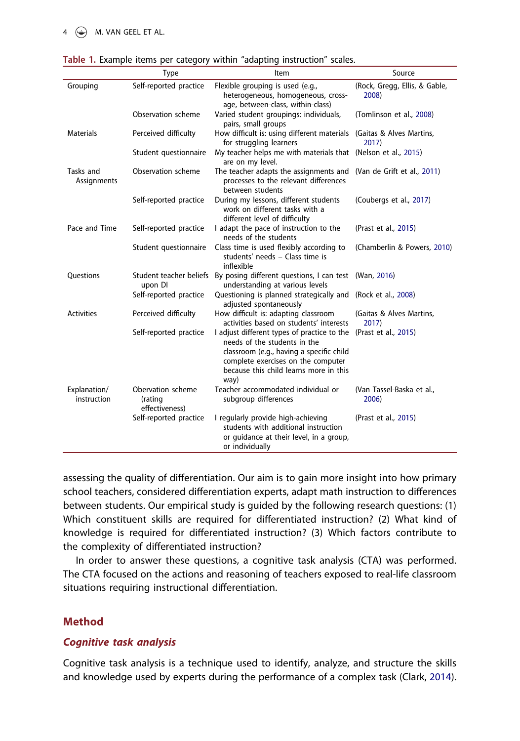## $4 \quad (*)$  M. VAN GEEL ET AL.

|                             | <b>Type</b>                                    | Item                                                                                                                                                                                                            | Source                                 |
|-----------------------------|------------------------------------------------|-----------------------------------------------------------------------------------------------------------------------------------------------------------------------------------------------------------------|----------------------------------------|
| Grouping                    | Self-reported practice                         | Flexible grouping is used (e.g.,<br>heterogeneous, homogeneous, cross-<br>age, between-class, within-class)                                                                                                     | (Rock, Gregg, Ellis, & Gable,<br>2008) |
|                             | Observation scheme                             | Varied student groupings: individuals,<br>pairs, small groups                                                                                                                                                   | (Tomlinson et al., 2008)               |
| <b>Materials</b>            | Perceived difficulty                           | How difficult is: using different materials<br>for struggling learners                                                                                                                                          | (Gaitas & Alves Martins,<br>2017)      |
|                             | Student questionnaire                          | My teacher helps me with materials that (Nelson et al., 2015)<br>are on my level.                                                                                                                               |                                        |
| Tasks and<br>Assignments    | Observation scheme                             | The teacher adapts the assignments and<br>processes to the relevant differences<br>between students                                                                                                             | (Van de Grift et al., 2011)            |
|                             | Self-reported practice                         | During my lessons, different students<br>work on different tasks with a<br>different level of difficulty                                                                                                        | (Coubergs et al., 2017)                |
| Pace and Time               | Self-reported practice                         | I adapt the pace of instruction to the<br>needs of the students                                                                                                                                                 | (Prast et al., 2015)                   |
|                             | Student questionnaire                          | Class time is used flexibly according to<br>students' needs - Class time is<br>inflexible                                                                                                                       | (Chamberlin & Powers, 2010)            |
| Questions                   | Student teacher beliefs<br>upon DI             | By posing different questions, I can test (Wan, 2016)<br>understanding at various levels                                                                                                                        |                                        |
|                             | Self-reported practice                         | Questioning is planned strategically and (Rock et al., 2008)<br>adjusted spontaneously                                                                                                                          |                                        |
| <b>Activities</b>           | Perceived difficulty                           | How difficult is: adapting classroom<br>activities based on students' interests                                                                                                                                 | (Gaitas & Alves Martins,<br>2017)      |
|                             | Self-reported practice                         | I adjust different types of practice to the<br>needs of the students in the<br>classroom (e.g., having a specific child<br>complete exercises on the computer<br>because this child learns more in this<br>way) | (Prast et al., 2015)                   |
| Explanation/<br>instruction | Obervation scheme<br>(rating<br>effectiveness) | Teacher accommodated individual or<br>subgroup differences                                                                                                                                                      | (Van Tassel-Baska et al.,<br>2006)     |
|                             | Self-reported practice                         | I regularly provide high-achieving<br>students with additional instruction<br>or guidance at their level, in a group,<br>or individually                                                                        | (Prast et al., 2015)                   |

## <span id="page-3-0"></span>Table 1. Example items per category within "adapting instruction" scales.

<span id="page-3-2"></span>assessing the quality of differentiation. Our aim is to gain more insight into how primary school teachers, considered differentiation experts, adapt math instruction to differences between students. Our empirical study is guided by the following research questions: (1) Which constituent skills are required for differentiated instruction? (2) What kind of knowledge is required for differentiated instruction? (3) Which factors contribute to the complexity of differentiated instruction?

In order to answer these questions, a cognitive task analysis (CTA) was performed. The CTA focused on the actions and reasoning of teachers exposed to real-life classroom situations requiring instructional differentiation.

## Method

## Cognitive task analysis

<span id="page-3-1"></span>Cognitive task analysis is a technique used to identify, analyze, and structure the skills and knowledge used by experts during the performance of a complex task (Clark, [2014](#page-15-10)).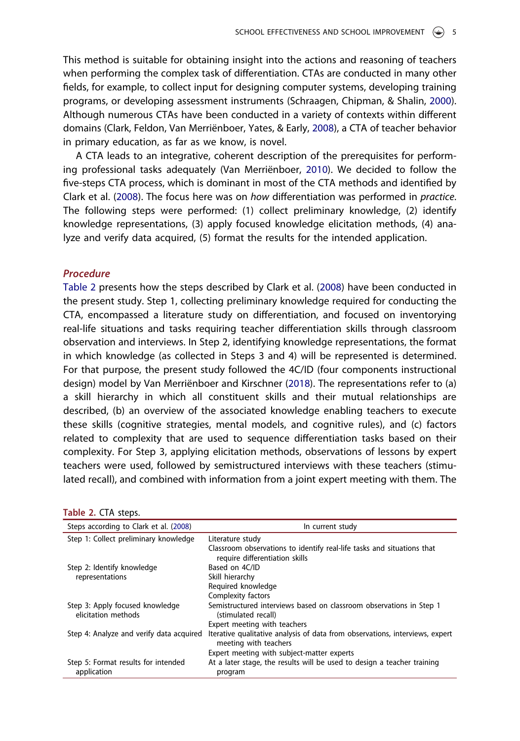<span id="page-4-2"></span>This method is suitable for obtaining insight into the actions and reasoning of teachers when performing the complex task of differentiation. CTAs are conducted in many other fields, for example, to collect input for designing computer systems, developing training programs, or developing assessment instruments (Schraagen, Chipman, & Shalin, [2000](#page-16-12)). Although numerous CTAs have been conducted in a variety of contexts within different domains (Clark, Feldon, Van Merriënboer, Yates, & Early, [2008\)](#page-15-11), a CTA of teacher behavior in primary education, as far as we know, is novel.

<span id="page-4-3"></span>A CTA leads to an integrative, coherent description of the prerequisites for performing professional tasks adequately (Van Merriënboer, [2010\)](#page-16-13). We decided to follow the five-steps CTA process, which is dominant in most of the CTA methods and identified by Clark et al. [\(2008\)](#page-15-11). The focus here was on how differentiation was performed in practice. The following steps were performed: (1) collect preliminary knowledge, (2) identify knowledge representations, (3) apply focused knowledge elicitation methods, (4) analyze and verify data acquired, (5) format the results for the intended application.

#### Procedure

<span id="page-4-4"></span>[Table 2](#page-4-0) presents how the steps described by Clark et al. [\(2008](#page-15-11)) have been conducted in the present study. Step 1, collecting preliminary knowledge required for conducting the CTA, encompassed a literature study on differentiation, and focused on inventorying real-life situations and tasks requiring teacher differentiation skills through classroom observation and interviews. In Step 2, identifying knowledge representations, the format in which knowledge (as collected in Steps 3 and 4) will be represented is determined. For that purpose, the present study followed the 4C/ID (four components instructional design) model by Van Merriënboer and Kirschner ([2018](#page-16-14)). The representations refer to (a) a skill hierarchy in which all constituent skills and their mutual relationships are described, (b) an overview of the associated knowledge enabling teachers to execute these skills (cognitive strategies, mental models, and cognitive rules), and (c) factors related to complexity that are used to sequence differentiation tasks based on their complexity. For Step 3, applying elicitation methods, observations of lessons by expert teachers were used, followed by semistructured interviews with these teachers (stimulated recall), and combined with information from a joint expert meeting with them. The

<span id="page-4-0"></span>

|  |  |  | Table 2. CTA steps. |
|--|--|--|---------------------|
|--|--|--|---------------------|

<span id="page-4-1"></span>

| Steps according to Clark et al. (2008)                 | In current study                                                                                         |  |  |
|--------------------------------------------------------|----------------------------------------------------------------------------------------------------------|--|--|
| Step 1: Collect preliminary knowledge                  | Literature study                                                                                         |  |  |
|                                                        | Classroom observations to identify real-life tasks and situations that<br>require differentiation skills |  |  |
| Step 2: Identify knowledge                             | Based on 4C/ID                                                                                           |  |  |
| representations                                        | Skill hierarchy                                                                                          |  |  |
|                                                        | Required knowledge                                                                                       |  |  |
|                                                        | Complexity factors                                                                                       |  |  |
| Step 3: Apply focused knowledge<br>elicitation methods | Semistructured interviews based on classroom observations in Step 1<br>(stimulated recall)               |  |  |
|                                                        | Expert meeting with teachers                                                                             |  |  |
| Step 4: Analyze and verify data acquired               | Iterative qualitative analysis of data from observations, interviews, expert<br>meeting with teachers    |  |  |
|                                                        | Expert meeting with subject-matter experts                                                               |  |  |
| Step 5: Format results for intended<br>application     | At a later stage, the results will be used to design a teacher training<br>program                       |  |  |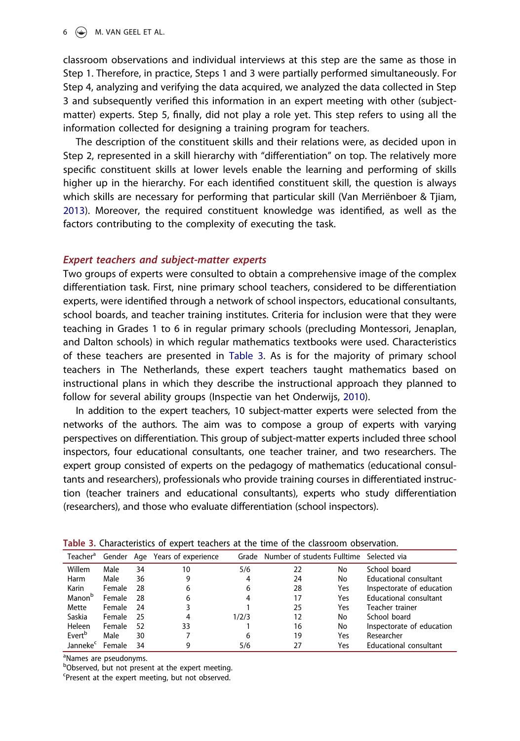$6 \quad \circledast$  M. VAN GEEL ET AL.

classroom observations and individual interviews at this step are the same as those in Step 1. Therefore, in practice, Steps 1 and 3 were partially performed simultaneously. For Step 4, analyzing and verifying the data acquired, we analyzed the data collected in Step 3 and subsequently verified this information in an expert meeting with other (subjectmatter) experts. Step 5, finally, did not play a role yet. This step refers to using all the information collected for designing a training program for teachers.

<span id="page-5-2"></span>The description of the constituent skills and their relations were, as decided upon in Step 2, represented in a skill hierarchy with "differentiation" on top. The relatively more specific constituent skills at lower levels enable the learning and performing of skills higher up in the hierarchy. For each identified constituent skill, the question is always which skills are necessary for performing that particular skill (Van Merriënboer & Tijam, [2013\)](#page-16-15). Moreover, the required constituent knowledge was identified, as well as the factors contributing to the complexity of executing the task.

#### Expert teachers and subject-matter experts

Two groups of experts were consulted to obtain a comprehensive image of the complex differentiation task. First, nine primary school teachers, considered to be differentiation experts, were identified through a network of school inspectors, educational consultants, school boards, and teacher training institutes. Criteria for inclusion were that they were teaching in Grades 1 to 6 in regular primary schools (precluding Montessori, Jenaplan, and Dalton schools) in which regular mathematics textbooks were used. Characteristics of these teachers are presented in [Table 3.](#page-5-0) As is for the majority of primary school teachers in The Netherlands, these expert teachers taught mathematics based on instructional plans in which they describe the instructional approach they planned to follow for several ability groups (Inspectie van het Onderwijs, [2010](#page-15-12)).

<span id="page-5-1"></span>In addition to the expert teachers, 10 subject-matter experts were selected from the networks of the authors. The aim was to compose a group of experts with varying perspectives on differentiation. This group of subject-matter experts included three school inspectors, four educational consultants, one teacher trainer, and two researchers. The expert group consisted of experts on the pedagogy of mathematics (educational consultants and researchers), professionals who provide training courses in differentiated instruction (teacher trainers and educational consultants), experts who study differentiation (researchers), and those who evaluate differentiation (school inspectors).

| Teacher <sup>a</sup> |        |    | Gender Age Years of experience |       | Grade Number of students Fulltime Selected via |     |                           |
|----------------------|--------|----|--------------------------------|-------|------------------------------------------------|-----|---------------------------|
| Willem               | Male   | 34 | 10                             | 5/6   | 22                                             | No  | School board              |
| Harm                 | Male   | 36 | 9                              | 4     | 24                                             | No  | Educational consultant    |
| Karin                | Female | 28 | 6                              | 6     | 28                                             | Yes | Inspectorate of education |
| Manon <sup>b</sup>   | Female | 28 | 6                              |       | 17                                             | Yes | Educational consultant    |
| Mette                | Female | 24 |                                |       | 25                                             | Yes | Teacher trainer           |
| Saskia               | Female | 25 | 4                              | 1/2/3 | 12                                             | No  | School board              |
| Heleen               | Female | 52 | 33                             |       | 16                                             | No  | Inspectorate of education |
| Evert <sup>b</sup>   | Male   | 30 |                                | 6     | 19                                             | Yes | Researcher                |
| Janneke <sup>c</sup> | Female | 34 | q                              | 5/6   | 27                                             | Yes | Educational consultant    |

<span id="page-5-0"></span>Table 3. Characteristics of expert teachers at the time of the classroom observation.

<sup>a</sup>Names are pseudonyms.

<sup>b</sup>Observed, but not present at the expert meeting.

Present at the expert meeting, but not observed.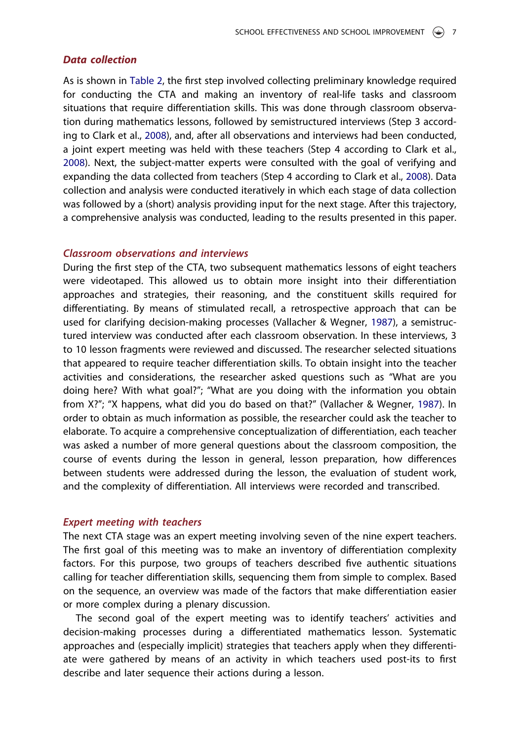#### Data collection

As is shown in [Table 2](#page-4-0), the first step involved collecting preliminary knowledge required for conducting the CTA and making an inventory of real-life tasks and classroom situations that require differentiation skills. This was done through classroom observation during mathematics lessons, followed by semistructured interviews (Step 3 according to Clark et al., [2008\)](#page-15-11), and, after all observations and interviews had been conducted, a joint expert meeting was held with these teachers (Step 4 according to Clark et al., [2008\)](#page-15-11). Next, the subject-matter experts were consulted with the goal of verifying and expanding the data collected from teachers (Step 4 according to Clark et al., [2008\)](#page-15-11). Data collection and analysis were conducted iteratively in which each stage of data collection was followed by a (short) analysis providing input for the next stage. After this trajectory, a comprehensive analysis was conducted, leading to the results presented in this paper.

#### Classroom observations and interviews

During the first step of the CTA, two subsequent mathematics lessons of eight teachers were videotaped. This allowed us to obtain more insight into their differentiation approaches and strategies, their reasoning, and the constituent skills required for differentiating. By means of stimulated recall, a retrospective approach that can be used for clarifying decision-making processes (Vallacher & Wegner, [1987\)](#page-16-16), a semistructured interview was conducted after each classroom observation. In these interviews, 3 to 10 lesson fragments were reviewed and discussed. The researcher selected situations that appeared to require teacher differentiation skills. To obtain insight into the teacher activities and considerations, the researcher asked questions such as "What are you doing here? With what goal?"; "What are you doing with the information you obtain from X?"; "X happens, what did you do based on that?" (Vallacher & Wegner, [1987\)](#page-16-16). In order to obtain as much information as possible, the researcher could ask the teacher to elaborate. To acquire a comprehensive conceptualization of differentiation, each teacher was asked a number of more general questions about the classroom composition, the course of events during the lesson in general, lesson preparation, how differences between students were addressed during the lesson, the evaluation of student work, and the complexity of differentiation. All interviews were recorded and transcribed.

## <span id="page-6-0"></span>Expert meeting with teachers

The next CTA stage was an expert meeting involving seven of the nine expert teachers. The first goal of this meeting was to make an inventory of differentiation complexity factors. For this purpose, two groups of teachers described five authentic situations calling for teacher differentiation skills, sequencing them from simple to complex. Based on the sequence, an overview was made of the factors that make differentiation easier or more complex during a plenary discussion.

The second goal of the expert meeting was to identify teachers' activities and decision-making processes during a differentiated mathematics lesson. Systematic approaches and (especially implicit) strategies that teachers apply when they differentiate were gathered by means of an activity in which teachers used post-its to first describe and later sequence their actions during a lesson.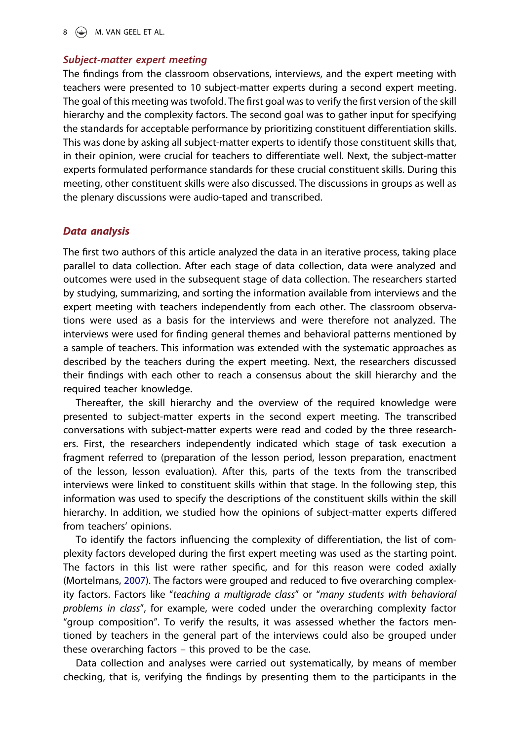8 **M. VAN GEEL ET AL.** 

## Subject-matter expert meeting

The findings from the classroom observations, interviews, and the expert meeting with teachers were presented to 10 subject-matter experts during a second expert meeting. The goal of this meeting was twofold. The first goal was to verify the first version of the skill hierarchy and the complexity factors. The second goal was to gather input for specifying the standards for acceptable performance by prioritizing constituent differentiation skills. This was done by asking all subject-matter experts to identify those constituent skills that, in their opinion, were crucial for teachers to differentiate well. Next, the subject-matter experts formulated performance standards for these crucial constituent skills. During this meeting, other constituent skills were also discussed. The discussions in groups as well as the plenary discussions were audio-taped and transcribed.

## Data analysis

The first two authors of this article analyzed the data in an iterative process, taking place parallel to data collection. After each stage of data collection, data were analyzed and outcomes were used in the subsequent stage of data collection. The researchers started by studying, summarizing, and sorting the information available from interviews and the expert meeting with teachers independently from each other. The classroom observations were used as a basis for the interviews and were therefore not analyzed. The interviews were used for finding general themes and behavioral patterns mentioned by a sample of teachers. This information was extended with the systematic approaches as described by the teachers during the expert meeting. Next, the researchers discussed their findings with each other to reach a consensus about the skill hierarchy and the required teacher knowledge.

Thereafter, the skill hierarchy and the overview of the required knowledge were presented to subject-matter experts in the second expert meeting. The transcribed conversations with subject-matter experts were read and coded by the three researchers. First, the researchers independently indicated which stage of task execution a fragment referred to (preparation of the lesson period, lesson preparation, enactment of the lesson, lesson evaluation). After this, parts of the texts from the transcribed interviews were linked to constituent skills within that stage. In the following step, this information was used to specify the descriptions of the constituent skills within the skill hierarchy. In addition, we studied how the opinions of subject-matter experts differed from teachers' opinions.

<span id="page-7-0"></span>To identify the factors influencing the complexity of differentiation, the list of complexity factors developed during the first expert meeting was used as the starting point. The factors in this list were rather specific, and for this reason were coded axially (Mortelmans, [2007](#page-16-17)). The factors were grouped and reduced to five overarching complexity factors. Factors like "teaching a multigrade class" or "many students with behavioral problems in class", for example, were coded under the overarching complexity factor "group composition". To verify the results, it was assessed whether the factors mentioned by teachers in the general part of the interviews could also be grouped under these overarching factors – this proved to be the case.

Data collection and analyses were carried out systematically, by means of member checking, that is, verifying the findings by presenting them to the participants in the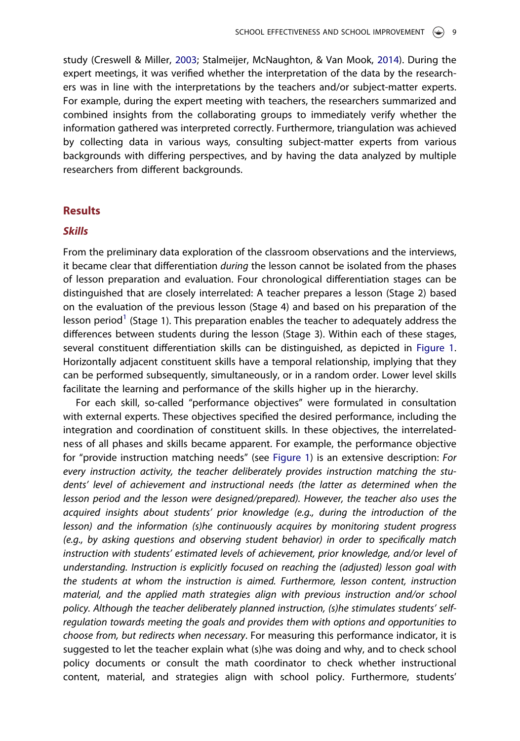<span id="page-8-0"></span>study (Creswell & Miller, [2003;](#page-15-13) Stalmeijer, McNaughton, & Van Mook, [2014\)](#page-16-18). During the expert meetings, it was verified whether the interpretation of the data by the researchers was in line with the interpretations by the teachers and/or subject-matter experts. For example, during the expert meeting with teachers, the researchers summarized and combined insights from the collaborating groups to immediately verify whether the information gathered was interpreted correctly. Furthermore, triangulation was achieved by collecting data in various ways, consulting subject-matter experts from various backgrounds with differing perspectives, and by having the data analyzed by multiple researchers from different backgrounds.

#### Results

## Skills

From the preliminary data exploration of the classroom observations and the interviews, it became clear that differentiation *during* the lesson cannot be isolated from the phases of lesson preparation and evaluation. Four chronological differentiation stages can be distinguished that are closely interrelated: A teacher prepares a lesson (Stage 2) based on the evaluation of the previous lesson (Stage 4) and based on his preparation of the lesson period<sup>[1](#page-14-0)</sup> (Stage 1). This preparation enables the teacher to adequately address the differences between students during the lesson (Stage 3). Within each of these stages, several constituent differentiation skills can be distinguished, as depicted in [Figure 1](#page-9-0). Horizontally adjacent constituent skills have a temporal relationship, implying that they can be performed subsequently, simultaneously, or in a random order. Lower level skills facilitate the learning and performance of the skills higher up in the hierarchy.

For each skill, so-called "performance objectives" were formulated in consultation with external experts. These objectives specified the desired performance, including the integration and coordination of constituent skills. In these objectives, the interrelatedness of all phases and skills became apparent. For example, the performance objective for "provide instruction matching needs" (see [Figure 1](#page-9-0)) is an extensive description: For every instruction activity, the teacher deliberately provides instruction matching the students' level of achievement and instructional needs (the latter as determined when the lesson period and the lesson were designed/prepared). However, the teacher also uses the acquired insights about students' prior knowledge (e.g., during the introduction of the lesson) and the information (s)he continuously acquires by monitoring student progress (e.g., by asking questions and observing student behavior) in order to specifically match instruction with students' estimated levels of achievement, prior knowledge, and/or level of understanding. Instruction is explicitly focused on reaching the (adjusted) lesson goal with the students at whom the instruction is aimed. Furthermore, lesson content, instruction material, and the applied math strategies align with previous instruction and/or school policy. Although the teacher deliberately planned instruction, (s)he stimulates students' selfregulation towards meeting the goals and provides them with options and opportunities to choose from, but redirects when necessary. For measuring this performance indicator, it is suggested to let the teacher explain what (s)he was doing and why, and to check school policy documents or consult the math coordinator to check whether instructional content, material, and strategies align with school policy. Furthermore, students'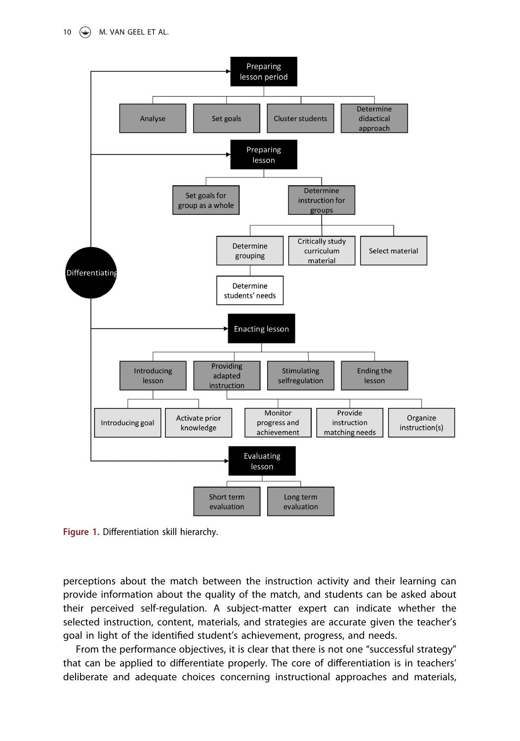10  $\qquad \qquad$  M. VAN GEEL ET AL.



<span id="page-9-0"></span>Figure 1. Differentiation skill hierarchy.

perceptions about the match between the instruction activity and their learning can provide information about the quality of the match, and students can be asked about their perceived self-regulation. A subject-matter expert can indicate whether the selected instruction, content, materials, and strategies are accurate given the teacher's goal in light of the identified student's achievement, progress, and needs.

From the performance objectives, it is clear that there is not one "successful strategy" that can be applied to differentiate properly. The core of differentiation is in teachers' deliberate and adequate choices concerning instructional approaches and materials,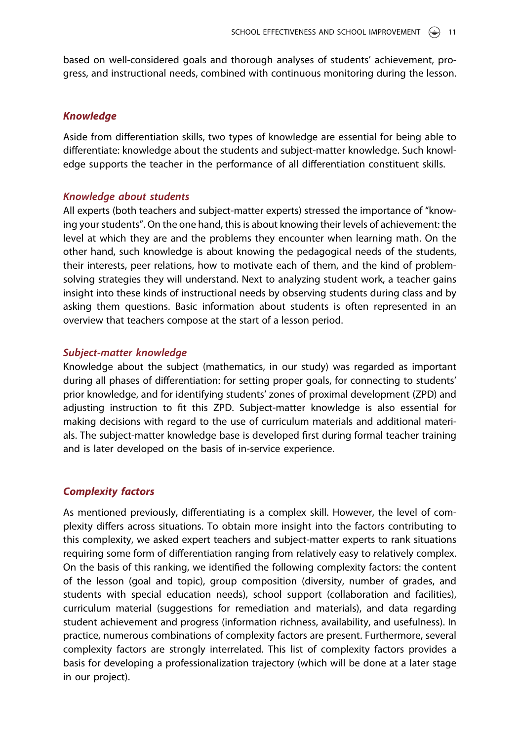based on well-considered goals and thorough analyses of students' achievement, progress, and instructional needs, combined with continuous monitoring during the lesson.

## Knowledge

Aside from differentiation skills, two types of knowledge are essential for being able to differentiate: knowledge about the students and subject-matter knowledge. Such knowledge supports the teacher in the performance of all differentiation constituent skills.

## Knowledge about students

All experts (both teachers and subject-matter experts) stressed the importance of "knowing your students". On the one hand, this is about knowing their levels of achievement: the level at which they are and the problems they encounter when learning math. On the other hand, such knowledge is about knowing the pedagogical needs of the students, their interests, peer relations, how to motivate each of them, and the kind of problemsolving strategies they will understand. Next to analyzing student work, a teacher gains insight into these kinds of instructional needs by observing students during class and by asking them questions. Basic information about students is often represented in an overview that teachers compose at the start of a lesson period.

## Subject-matter knowledge

Knowledge about the subject (mathematics, in our study) was regarded as important during all phases of differentiation: for setting proper goals, for connecting to students' prior knowledge, and for identifying students' zones of proximal development (ZPD) and adjusting instruction to fit this ZPD. Subject-matter knowledge is also essential for making decisions with regard to the use of curriculum materials and additional materials. The subject-matter knowledge base is developed first during formal teacher training and is later developed on the basis of in-service experience.

## Complexity factors

As mentioned previously, differentiating is a complex skill. However, the level of complexity differs across situations. To obtain more insight into the factors contributing to this complexity, we asked expert teachers and subject-matter experts to rank situations requiring some form of differentiation ranging from relatively easy to relatively complex. On the basis of this ranking, we identified the following complexity factors: the content of the lesson (goal and topic), group composition (diversity, number of grades, and students with special education needs), school support (collaboration and facilities), curriculum material (suggestions for remediation and materials), and data regarding student achievement and progress (information richness, availability, and usefulness). In practice, numerous combinations of complexity factors are present. Furthermore, several complexity factors are strongly interrelated. This list of complexity factors provides a basis for developing a professionalization trajectory (which will be done at a later stage in our project).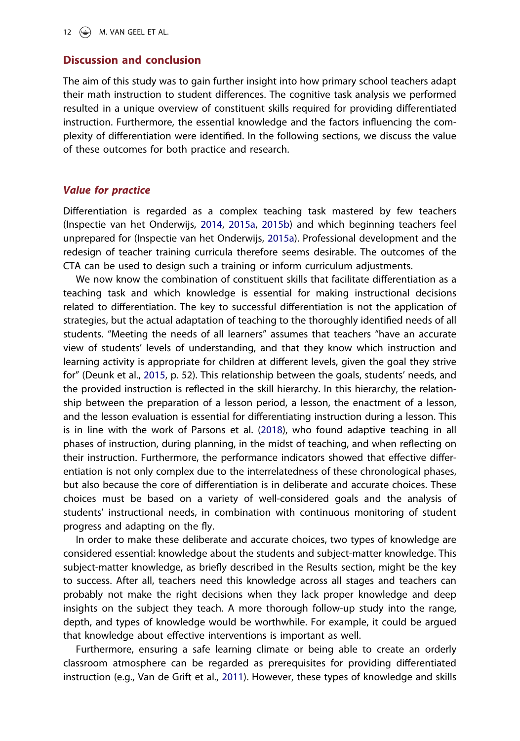12  $\left(\rightarrow\right)$  M. VAN GEEL ET AL.

## Discussion and conclusion

The aim of this study was to gain further insight into how primary school teachers adapt their math instruction to student differences. The cognitive task analysis we performed resulted in a unique overview of constituent skills required for providing differentiated instruction. Furthermore, the essential knowledge and the factors influencing the complexity of differentiation were identified. In the following sections, we discuss the value of these outcomes for both practice and research.

## Value for practice

Differentiation is regarded as a complex teaching task mastered by few teachers (Inspectie van het Onderwijs, [2014,](#page-15-2) [2015a](#page-15-3), [2015b\)](#page-15-4) and which beginning teachers feel unprepared for (Inspectie van het Onderwijs, [2015a](#page-15-3)). Professional development and the redesign of teacher training curricula therefore seems desirable. The outcomes of the CTA can be used to design such a training or inform curriculum adjustments.

We now know the combination of constituent skills that facilitate differentiation as a teaching task and which knowledge is essential for making instructional decisions related to differentiation. The key to successful differentiation is not the application of strategies, but the actual adaptation of teaching to the thoroughly identified needs of all students. "Meeting the needs of all learners" assumes that teachers "have an accurate view of students' levels of understanding, and that they know which instruction and learning activity is appropriate for children at different levels, given the goal they strive for" (Deunk et al., [2015,](#page-15-1) p. 52). This relationship between the goals, students' needs, and the provided instruction is reflected in the skill hierarchy. In this hierarchy, the relationship between the preparation of a lesson period, a lesson, the enactment of a lesson, and the lesson evaluation is essential for differentiating instruction during a lesson. This is in line with the work of Parsons et al. ([2018](#page-16-0)), who found adaptive teaching in all phases of instruction, during planning, in the midst of teaching, and when reflecting on their instruction. Furthermore, the performance indicators showed that effective differentiation is not only complex due to the interrelatedness of these chronological phases, but also because the core of differentiation is in deliberate and accurate choices. These choices must be based on a variety of well-considered goals and the analysis of students' instructional needs, in combination with continuous monitoring of student progress and adapting on the fly.

In order to make these deliberate and accurate choices, two types of knowledge are considered essential: knowledge about the students and subject-matter knowledge. This subject-matter knowledge, as briefly described in the Results section, might be the key to success. After all, teachers need this knowledge across all stages and teachers can probably not make the right decisions when they lack proper knowledge and deep insights on the subject they teach. A more thorough follow-up study into the range, depth, and types of knowledge would be worthwhile. For example, it could be argued that knowledge about effective interventions is important as well.

Furthermore, ensuring a safe learning climate or being able to create an orderly classroom atmosphere can be regarded as prerequisites for providing differentiated instruction (e.g., Van de Grift et al., [2011](#page-16-1)). However, these types of knowledge and skills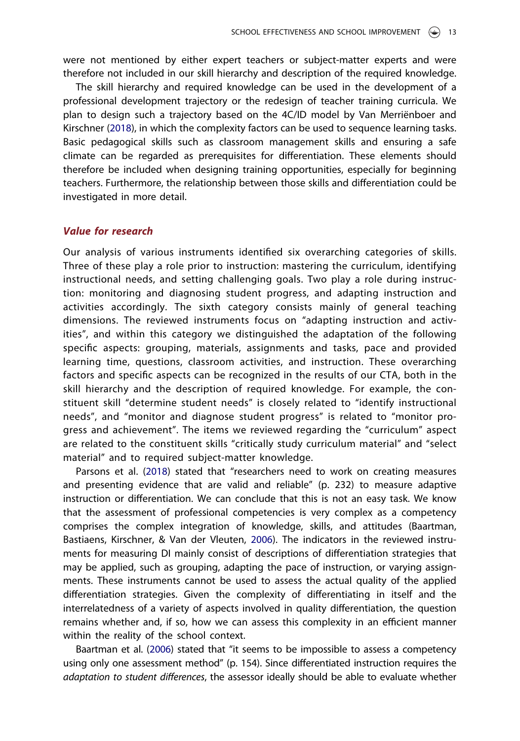were not mentioned by either expert teachers or subject-matter experts and were therefore not included in our skill hierarchy and description of the required knowledge.

The skill hierarchy and required knowledge can be used in the development of a professional development trajectory or the redesign of teacher training curricula. We plan to design such a trajectory based on the 4C/ID model by Van Merriënboer and Kirschner [\(2018\)](#page-16-14), in which the complexity factors can be used to sequence learning tasks. Basic pedagogical skills such as classroom management skills and ensuring a safe climate can be regarded as prerequisites for differentiation. These elements should therefore be included when designing training opportunities, especially for beginning teachers. Furthermore, the relationship between those skills and differentiation could be investigated in more detail.

#### Value for research

Our analysis of various instruments identified six overarching categories of skills. Three of these play a role prior to instruction: mastering the curriculum, identifying instructional needs, and setting challenging goals. Two play a role during instruction: monitoring and diagnosing student progress, and adapting instruction and activities accordingly. The sixth category consists mainly of general teaching dimensions. The reviewed instruments focus on "adapting instruction and activities", and within this category we distinguished the adaptation of the following specific aspects: grouping, materials, assignments and tasks, pace and provided learning time, questions, classroom activities, and instruction. These overarching factors and specific aspects can be recognized in the results of our CTA, both in the skill hierarchy and the description of required knowledge. For example, the constituent skill "determine student needs" is closely related to "identify instructional needs", and "monitor and diagnose student progress" is related to "monitor progress and achievement". The items we reviewed regarding the "curriculum" aspect are related to the constituent skills "critically study curriculum material" and "select material" and to required subject-matter knowledge.

Parsons et al. [\(2018\)](#page-16-0) stated that "researchers need to work on creating measures and presenting evidence that are valid and reliable" (p. 232) to measure adaptive instruction or differentiation. We can conclude that this is not an easy task. We know that the assessment of professional competencies is very complex as a competency comprises the complex integration of knowledge, skills, and attitudes (Baartman, Bastiaens, Kirschner, & Van der Vleuten, [2006\)](#page-15-14). The indicators in the reviewed instruments for measuring DI mainly consist of descriptions of differentiation strategies that may be applied, such as grouping, adapting the pace of instruction, or varying assignments. These instruments cannot be used to assess the actual quality of the applied differentiation strategies. Given the complexity of differentiating in itself and the interrelatedness of a variety of aspects involved in quality differentiation, the question remains whether and, if so, how we can assess this complexity in an efficient manner within the reality of the school context.

<span id="page-12-0"></span>Baartman et al. [\(2006](#page-15-14)) stated that "it seems to be impossible to assess a competency using only one assessment method" (p. 154). Since differentiated instruction requires the adaptation to student differences, the assessor ideally should be able to evaluate whether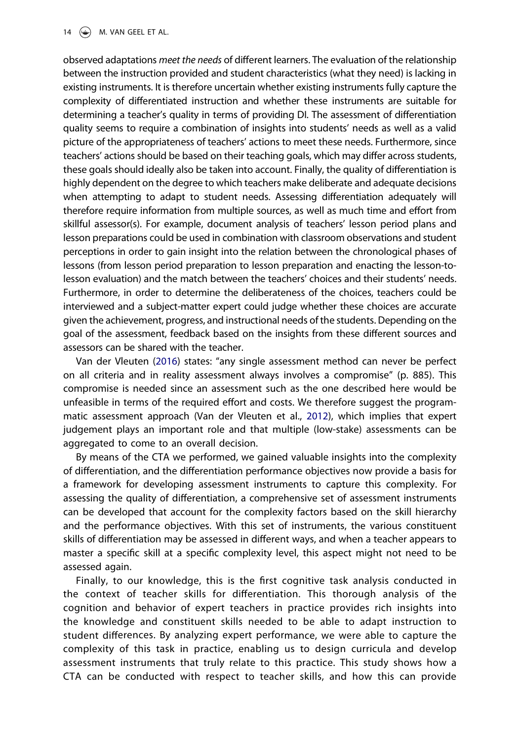14  $\qquad \qquad$  M. VAN GEEL ET AL.

observed adaptations meet the needs of different learners. The evaluation of the relationship between the instruction provided and student characteristics (what they need) is lacking in existing instruments. It is therefore uncertain whether existing instruments fully capture the complexity of differentiated instruction and whether these instruments are suitable for determining a teacher's quality in terms of providing DI. The assessment of differentiation quality seems to require a combination of insights into students' needs as well as a valid picture of the appropriateness of teachers' actions to meet these needs. Furthermore, since teachers' actions should be based on their teaching goals, which may differ across students, these goals should ideally also be taken into account. Finally, the quality of differentiation is highly dependent on the degree to which teachers make deliberate and adequate decisions when attempting to adapt to student needs. Assessing differentiation adequately will therefore require information from multiple sources, as well as much time and effort from skillful assessor(s). For example, document analysis of teachers' lesson period plans and lesson preparations could be used in combination with classroom observations and student perceptions in order to gain insight into the relation between the chronological phases of lessons (from lesson period preparation to lesson preparation and enacting the lesson-tolesson evaluation) and the match between the teachers' choices and their students' needs. Furthermore, in order to determine the deliberateness of the choices, teachers could be interviewed and a subject-matter expert could judge whether these choices are accurate given the achievement, progress, and instructional needs of the students. Depending on the goal of the assessment, feedback based on the insights from these different sources and assessors can be shared with the teacher.

<span id="page-13-0"></span>Van der Vleuten ([2016](#page-16-19)) states: "any single assessment method can never be perfect on all criteria and in reality assessment always involves a compromise" (p. 885). This compromise is needed since an assessment such as the one described here would be unfeasible in terms of the required effort and costs. We therefore suggest the programmatic assessment approach (Van der Vleuten et al., [2012](#page-16-20)), which implies that expert judgement plays an important role and that multiple (low-stake) assessments can be aggregated to come to an overall decision.

<span id="page-13-1"></span>By means of the CTA we performed, we gained valuable insights into the complexity of differentiation, and the differentiation performance objectives now provide a basis for a framework for developing assessment instruments to capture this complexity. For assessing the quality of differentiation, a comprehensive set of assessment instruments can be developed that account for the complexity factors based on the skill hierarchy and the performance objectives. With this set of instruments, the various constituent skills of differentiation may be assessed in different ways, and when a teacher appears to master a specific skill at a specific complexity level, this aspect might not need to be assessed again.

Finally, to our knowledge, this is the first cognitive task analysis conducted in the context of teacher skills for differentiation. This thorough analysis of the cognition and behavior of expert teachers in practice provides rich insights into the knowledge and constituent skills needed to be able to adapt instruction to student differences. By analyzing expert performance, we were able to capture the complexity of this task in practice, enabling us to design curricula and develop assessment instruments that truly relate to this practice. This study shows how a CTA can be conducted with respect to teacher skills, and how this can provide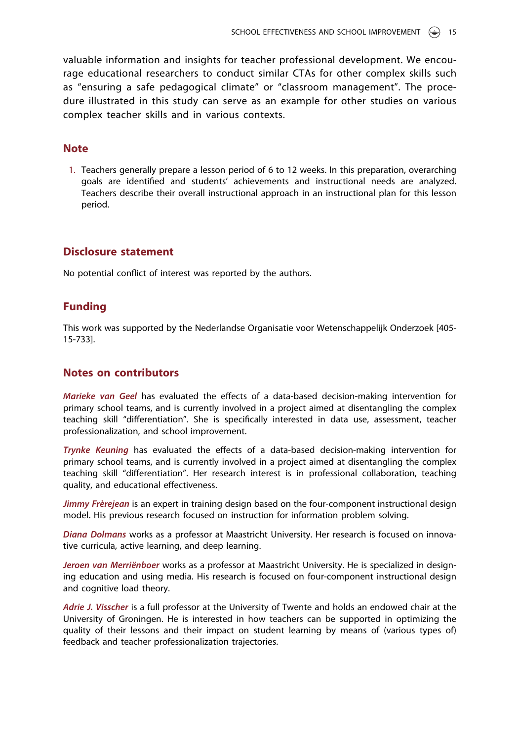valuable information and insights for teacher professional development. We encourage educational researchers to conduct similar CTAs for other complex skills such as "ensuring a safe pedagogical climate" or "classroom management". The procedure illustrated in this study can serve as an example for other studies on various complex teacher skills and in various contexts.

## **Note**

<span id="page-14-0"></span>1. Teachers generally prepare a lesson period of 6 to 12 weeks. In this preparation, overarching goals are identified and students' achievements and instructional needs are analyzed. Teachers describe their overall instructional approach in an instructional plan for this lesson period.

## Disclosure statement

No potential conflict of interest was reported by the authors.

## Funding

This work was supported by the Nederlandse Organisatie voor Wetenschappelijk Onderzoek [405- 15-733].

## Notes on contributors

Marieke van Geel has evaluated the effects of a data-based decision-making intervention for primary school teams, and is currently involved in a project aimed at disentangling the complex teaching skill "differentiation". She is specifically interested in data use, assessment, teacher professionalization, and school improvement.

Trynke Keuning has evaluated the effects of a data-based decision-making intervention for primary school teams, and is currently involved in a project aimed at disentangling the complex teaching skill "differentiation". Her research interest is in professional collaboration, teaching quality, and educational effectiveness.

Jimmy Frèrejean is an expert in training design based on the four-component instructional design model. His previous research focused on instruction for information problem solving.

Diana Dolmans works as a professor at Maastricht University. Her research is focused on innovative curricula, active learning, and deep learning.

Jeroen van Merriënboer works as a professor at Maastricht University. He is specialized in designing education and using media. His research is focused on four-component instructional design and cognitive load theory.

Adrie J. Visscher is a full professor at the University of Twente and holds an endowed chair at the University of Groningen. He is interested in how teachers can be supported in optimizing the quality of their lessons and their impact on student learning by means of (various types of) feedback and teacher professionalization trajectories.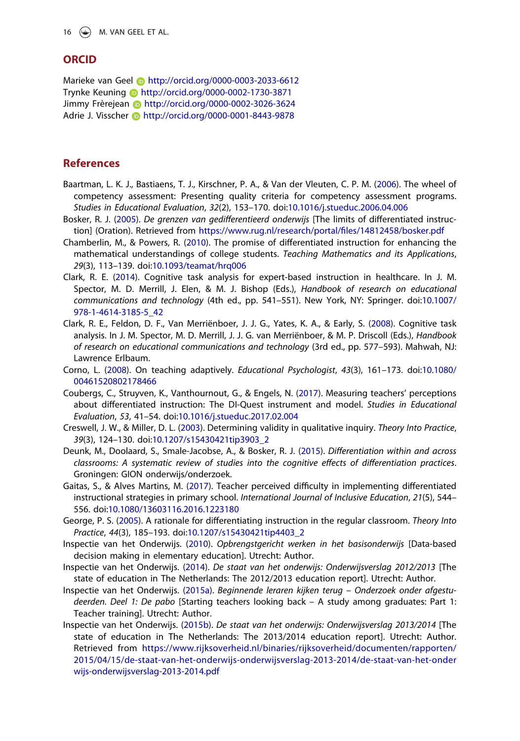## ORCID

Marieke van Geel n http://orcid.org/0000-0003-2033-6612 Trynke Keuning http://orcid.org/0000-0002-1730-3871 Jimmy Frèrejean http://orcid.org/0000-0002-3026-3624 Adrie J. Visscher **b** http://orcid.org/0000-0001-8443-9878

# References

- <span id="page-15-14"></span>Baartman, L. K. J., Bastiaens, T. J., Kirschner, P. A., & Van der Vleuten, C. P. M. ([2006](#page-12-0)). The wheel of competency assessment: Presenting quality criteria for competency assessment programs. Studies in Educational Evaluation, 32(2), 153–170. doi:[10.1016/j.stueduc.2006.04.006](https://doi.org/10.1016/j.stueduc.2006.04.006)
- <span id="page-15-5"></span>Bosker, R. J. ([2005](#page-1-0)). De grenzen van gedifferentieerd onderwijs [The limits of differentiated instruction] (Oration). Retrieved from [https://www.rug.nl/research/portal/](https://www.rug.nl/research/portal/files/14812458/bosker.pdf)files/14812458/bosker.pdf
- <span id="page-15-8"></span>Chamberlin, M., & Powers, R. ([2010](#page-1-1)). The promise of differentiated instruction for enhancing the mathematical understandings of college students. Teaching Mathematics and its Applications, 29(3), 113–139. doi:[10.1093/teamat/hrq006](https://doi.org/10.1093/teamat/hrq006)
- <span id="page-15-10"></span>Clark, R. E. ([2014](#page-3-1)). Cognitive task analysis for expert-based instruction in healthcare. In J. M. Spector, M. D. Merrill, J. Elen, & M. J. Bishop (Eds.), Handbook of research on educational communications and technology (4th ed., pp. 541–551). New York, NY: Springer. doi:[10.1007/](https://doi.org/10.1007/978-1-4614-3185-5_42) [978-1-4614-3185-5\\_42](https://doi.org/10.1007/978-1-4614-3185-5_42)
- <span id="page-15-11"></span>Clark, R. E., Feldon, D. F., Van Merriënboer, J. J. G., Yates, K. A., & Early, S. [\(2008\)](#page-4-1). Cognitive task analysis. In J. M. Spector, M. D. Merrill, J. J. G. van Merriënboer, & M. P. Driscoll (Eds.), Handbook of research on educational communications and technology (3rd ed., pp. 577–593). Mahwah, NJ: Lawrence Erlbaum.
- <span id="page-15-9"></span>Corno, L. ([2008](#page-2-0)). On teaching adaptively. Educational Psychologist, 43(3), 161–173. doi:[10.1080/](https://doi.org/10.1080/00461520802178466) [00461520802178466](https://doi.org/10.1080/00461520802178466)
- <span id="page-15-6"></span>Coubergs, C., Struyven, K., Vanthournout, G., & Engels, N. [\(2017\)](#page-1-2). Measuring teachers' perceptions about differentiated instruction: The DI-Quest instrument and model. Studies in Educational Evaluation, 53, 41–54. doi:[10.1016/j.stueduc.2017.02.004](https://doi.org/10.1016/j.stueduc.2017.02.004)
- <span id="page-15-13"></span>Creswell, J. W., & Miller, D. L. [\(2003\)](#page-8-0). Determining validity in qualitative inquiry. Theory Into Practice, 39(3), 124–130. doi:[10.1207/s15430421tip3903\\_2](https://doi.org/10.1207/s15430421tip3903_2)
- <span id="page-15-1"></span>Deunk, M., Doolaard, S., Smale-Jacobse, A., & Bosker, R. J. ([2015](#page-0-1)). Differentiation within and across classrooms: A systematic review of studies into the cognitive effects of differentiation practices. Groningen: GION onderwijs/onderzoek.
- <span id="page-15-7"></span>Gaitas, S., & Alves Martins, M. [\(2017\)](#page-1-3). Teacher perceived difficulty in implementing differentiated instructional strategies in primary school. International Journal of Inclusive Education, 21(5), 544– 556. doi:[10.1080/13603116.2016.1223180](https://doi.org/10.1080/13603116.2016.1223180)
- <span id="page-15-0"></span>George, P. S. ([2005](#page-0-2)). A rationale for differentiating instruction in the regular classroom. Theory Into Practice, 44(3), 185–193. doi:[10.1207/s15430421tip4403\\_2](https://doi.org/10.1207/s15430421tip4403_2)
- <span id="page-15-12"></span>Inspectie van het Onderwijs. ([2010](#page-5-1)). Opbrengstgericht werken in het basisonderwijs [Data-based decision making in elementary education]. Utrecht: Author.
- <span id="page-15-2"></span>Inspectie van het Onderwijs. [\(2014\)](#page-0-3). De staat van het onderwijs: Onderwijsverslag 2012/2013 [The state of education in The Netherlands: The 2012/2013 education report]. Utrecht: Author.
- <span id="page-15-3"></span>Inspectie van het Onderwijs. [\(2015a\)](#page-0-4). Beginnende leraren kijken terug – Onderzoek onder afgestudeerden. Deel 1: De pabo [Starting teachers looking back – A study among graduates: Part 1: Teacher training]. Utrecht: Author.
- <span id="page-15-4"></span>Inspectie van het Onderwijs. [\(2015b\)](#page-0-3). De staat van het onderwijs: Onderwijsverslag 2013/2014 [The state of education in The Netherlands: The 2013/2014 education report]. Utrecht: Author. Retrieved from [https://www.rijksoverheid.nl/binaries/rijksoverheid/documenten/rapporten/](https://www.rijksoverheid.nl/binaries/rijksoverheid/documenten/rapporten/2015/04/15/de-staat-van-het-onderwijs-onderwijsverslag-2013-2014/de-staat-van-het-onderwijs-onderwijsverslag-2013-2014.pdf) [2015/04/15/de-staat-van-het-onderwijs-onderwijsverslag-2013-2014/de-staat-van-het-onder](https://www.rijksoverheid.nl/binaries/rijksoverheid/documenten/rapporten/2015/04/15/de-staat-van-het-onderwijs-onderwijsverslag-2013-2014/de-staat-van-het-onderwijs-onderwijsverslag-2013-2014.pdf) [wijs-onderwijsverslag-2013-2014.pdf](https://www.rijksoverheid.nl/binaries/rijksoverheid/documenten/rapporten/2015/04/15/de-staat-van-het-onderwijs-onderwijsverslag-2013-2014/de-staat-van-het-onderwijs-onderwijsverslag-2013-2014.pdf)